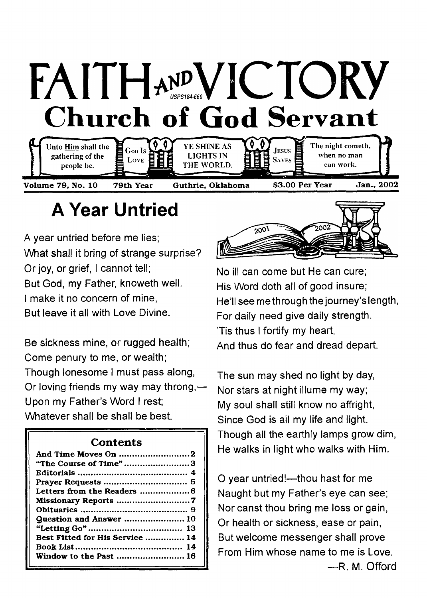# FAITHAND VICTORY **Church of God Servant**



## **A Year Untried**

A year untried before me lies; What shall it bring of strange surprise? Or joy, or grief, I cannot tell; But God, my Father, knoweth well. I make it no concern of mine, But leave it all with Love Divine.

Be sickness mine, or rugged health; Come penury to me, or wealth; Though lonesome I must pass along, Or loving friends my way may throng,— Upon my Father's Word I rest; Whatever shall be shall be best.

### **Contents**

| "The Course of Time"3           |  |
|---------------------------------|--|
|                                 |  |
|                                 |  |
|                                 |  |
|                                 |  |
|                                 |  |
| <b>Question and Answer  10</b>  |  |
|                                 |  |
| Best Fitted for His Service  14 |  |
|                                 |  |
| Window to the Past  16          |  |



No ill can come but He can cure; His Word doth all of good insure; He'll see methrough the journey's length, For daily need give daily strength. 'Tis thus I fortify my heart, And thus do fear and dread depart.

The sun may shed no light by day, Nor stars at night illume my way; My soul shall still know no affright, Since God is all my life and light. Though all the earthly lamps grow dim, He walks in light who walks with Him.

O year untried!—thou hast for me Naught but my Father's eye can see; Nor canst thou bring me loss or gain, Or health or sickness, ease or pain, But welcome messenger shall prove From Him whose name to me is Love. —R. M. Offord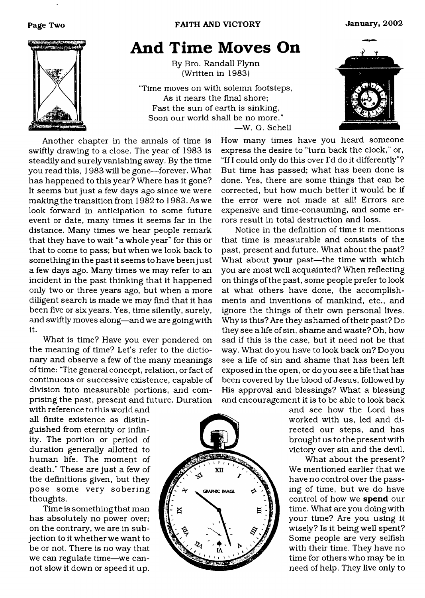

### <span id="page-1-0"></span>**And Time Moves On**

By Bro. Randall Flynn (Written in 1983)

"Time moves on with solemn footsteps, As it nears the final shore; Fast the sun of earth is sinking, Soon our world shall be no more." —W. G. Schell



Another chapter in the annals of time is swiftly drawing to a close. The year of 1983 is steadily and surely vanishing away. By the time you read this, 1983 will be gone—forever. What has happened to this year? Where has it gone? It seems but just a few days ago since we were making the transition from 1982 to 1983. As we look forward in anticipation to some future event or date, many times it seems far in the distance. Many times we hear people remark that they have to wait "a whole year" for this or that to come to pass; but when we look back to something in the past it seems to have been just a few days ago. Many times we may refer to an incident in the past thinking that it happened only two or three years ago, but when a more diligent search is made we may find that it has been five or six years. Yes, time silently, surely, and swiftly moves along—and we are going with it.

What is time? Have you ever pondered on the meaning of time? Let's refer to the dictionary and observe a few of the many meanings of time: 'The general concept, relation, or fact of continuous or successive existence, capable of division into measurable portions, and comprising the past, present and future. Duration

with reference to this world and all finite existence as distinguished from eternity or infinity. The portion or period of duration generally allotted to human life. The moment of death." These are just a few of the definitions given, but they pose some very sobering thoughts.

Time is something that man has absolutely no power over; on the contrary, we are in subjection to it whether we want to be or not. There is no way that we can regulate time—we cannot slow it down or speed it up.



How many times have you heard someone express the desire to "turn back the clock," or, "If I could only do this over I'd do it differently"? But time has passed; what has been done is done. Yes, there are some things that can be corrected, but how much better it would be if the error were not made at all! Errors are expensive and time-consuming, and some errors result in total destruction and loss.

Notice in the definition of time it mentions that time is measurable and consists of the past, present and future. What about the past? What about your past-the time with which you are most well acquainted? When reflecting on things of the past, some people prefer to look at what others have done, the accomplishments and inventions of mankind, etc., and ignore the things of their own personal lives. Why is this? Are they ashamed of their past? Do they see a life of sin, shame and waste? Oh, how sad if this is the case, but it need not be that way. What do you have to look back on? Do you see a life of sin and shame that has been left exposed in the open, or do you see a life that has been covered by the blood of Jesus, followed by His approval and blessings? What a blessing and encouragement it is to be able to look back

> and see how the Lord has worked with us, led and directed our steps, and has brought us to the present with victory over sin and the devil.

> What about the present? We mentioned earlier that we have no control over the passing of time, but we do have control of how we spend our time. What are you doing with your time? Are you using it wisely? Is it being well spent? Some people are very selfish with their time. They have no time for others who may be in need of help. They live only to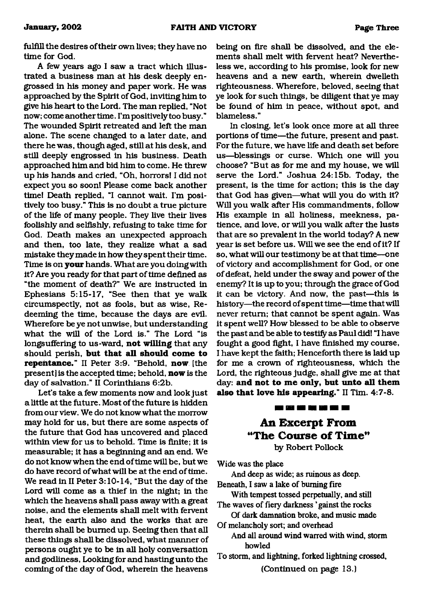fulfill the desires of their own lives; they have no time for God.

A few years ago I saw a tract which illustrated a business man at his desk deeply engrossed in his money and paper work. He was approached by the Spirit of God, inviting him to give his heart to the Lord. The man replied, "Not now; come another time. I'm positively too busy." The wounded Spirit retreated and left the man alone. The scene changed to a later date, and there he was, though aged, still at his desk, and still deeply engrossed in his business. Death approached him and bid him to come. He threw up his hands and cried, "Oh, horrors! I did not expect you so soon! Please come back another time! Death replied, "I cannot wait. I'm positively too busy." This is no doubt a true picture of the life of many people. They live their lives foolishly and selfishly, refusing to take time for God. Death makes an unexpected approach and then, too late, they realize what a sad mistake they made in how they spent their time. Time is on **your** hands. What are you doing with it? Are you ready for that part of time defined as "the moment of death?" We are instructed in Ephesians 5:15-17, "See then that ye walk circumspectly, not as fools, but as wise, Redeeming the time, because the days are evil. Wherefore be ye not unwise, but understanding what the will of the Lord is." The Lord "is longsuffering to us-ward, **not willing** that any should perish, **but that all should come to repentance."** II Peter 3:9. "Behold, **now** [the present] is the accepted time; behold, **now** is the day of salvation." II Corinthians 6:2b.

Let's take a few moments now and look just a little at the future. Most of the future is hidden from our view. We do not know what the morrow may hold for us, but there are some aspects of the future that God has uncovered and placed within view for us to behold. Time is finite; it is measurable; it has a beginning and an end. We do not know when the end of time will be, but we do have record ofwhat will be at the end of time. We read in II Peter 3:10-14, "But the day of the Lord will come as a thief in the night; in the which the heavens shall pass away with a great noise, and the elements shall melt with fervent heat, the earth also and the works that are therein shall be burned up. Seeing then that all these things shall be dissolved, what manner of persons ought ye to be in all holy conversation and godliness, Looking for and hasting unto the coming of the day of God, wherein the heavens

being on fire shall be dissolved, and the elements shall melt with fervent heat? Nevertheless we, according to his promise, look for new heavens and a new earth, wherein dwelleth righteousness. Wherefore, beloved, seeing that ye look for such things, be diligent that ye may be found of him in peace, without spot, and blameless."

In closing, let's look once more at all three portions of time—the future, present and past. For the future, we have life and death set before us—blessings or curse. Which one will you choose? "But as for me and my house, we will serve the Lord." Joshua 24:15b. Today, the present, is the time for action; this is the day that God has given—what will you do with it? Will you walk after His commandments, follow His example in all holiness, meekness, patience, and love, or will you walk after the lusts that are so prevalent in the world today? A new year is set before us. Will we see the end of it? If so, what will our testimony be at that time—one of victory and accomplishment for God, or one of defeat, held under the sway and power of the enemy? It is up to you; through the grace of God it can be victory. And now, the past—this is history—the record of spent time—time that will never return; that cannot be spent again. Was it spent well? How blessed to be able to observe the past and be able to testify as Paul did! "I have fought a good fight, I have finished my course, I have kept the faith; Henceforth there is laid up for me a crown of righteousness, which the Lord, the righteous judge, shall give me at that day: **and not to me only, but unto all them also that love his appearing."** II Tim. **4:7-8.**

### **An Excerpt From** "The Course of Time"

<u>and see also had been and was </u>

by Robert Pollock

Wide was the place

And deep as wide; as ruinous as deep. Beneath, I saw a lake of burning fire

With tempest tossed perpetually, and still The waves of fiery darkness ' gainst the rocks

Of dark damnation broke, and music made Of melancholy sort; and overhead

And all around wind warred with wind, storm howled

To storm, and lightning, forked lightning crossed,

(Continued on page 13.)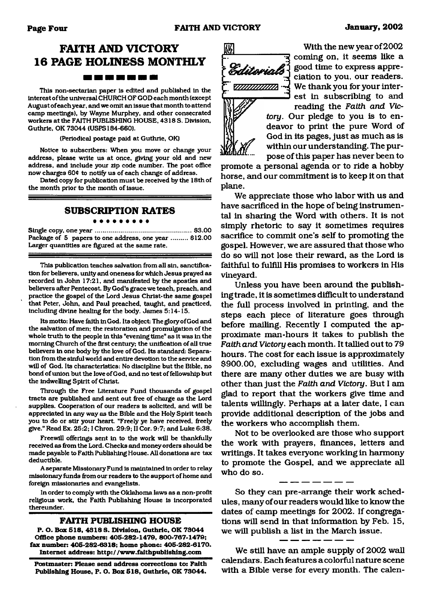### **FAITH AND VICTORY 16 PAGE HOLINESS MONTHLY**

#### -------

This non-sectarian paper is edited and published in the interest of the universal CHURCH OF GOD each month (except August of each year, and we omit an issue that month to attend camp meetings), by Wayne Murphey, and other consecrated workers at the FAITH PUBLISHING HOUSE, 4318 S. Division, Guthrie, OK 73044 (USPS184-660).

(Periodical postage paid at Guthrie, OK)

Notice to subscribers: When you move or change your address, please write us at once, giving your old and new address, and include your zip code number. The post office now charges 60¢ to notify us of each change of address.

Dated copy for publication must be received by the 18th of the month prior to the month of issue.

#### **SUBSCRIPTION RATES** . . . . . . . . .

Single copy, one y e a r .................................................... \$3.00 Package of 5 papers to one address, one year ......... \$12.00 Larger quantities are figured at the same rate.

This publication teaches salvation from all sin, sanctification for believers, unify and oneness for which Jesus prayed as recorded in John 17:21, and manifested by the apostles and believers after Pentecost By God's grace we teach, preach, and practice the gospel of the Lord Jesus Christ-the same gospel that Peter, John, and Paul preached, taught, and practiced, including divine healing for the body. James 5:14-15.

Its motto: Have faith in God. Its object: The glory of God and the salvation of men; the restoration and promulgation of the whole truth to the people in this "evening time" as it was in the morning Church of the first century; the unification of all true believers in one body by the love of God. Its standard: Separation from the sinful world and entire devotion to the service and will of God. Its characteristics: No discipline but the Bible, no bond of union but the love of God, and no test of fellowship but the indwelling Spirit of Christ

Through the Free Literature Fund thousands of gospel tracts are published and sent out free of charge as the Lord supplies. Cooperation of our readers is solicited, and will be appreciated in any way as the Bible and the Holy Spirit teach you to do or stir your heart "Freely ye have received, freely give." Read Ex. 25:2; I Chron. 29:9; II Cor. 9:7; and Luke 6:38.

Freewill offerings sent in to the work will be thankfully received as from the Lord. Checks and money orders should be made payable to Faith Publishing House. All donations are tax deductible.

A separate Missionary Fund is maintained in order to relay missionary funds from our readers to the support of home and foreign missionaries and evangelists.

In order to comply with the Oklahoma laws as a non-profit religious work, the Faith Publishing House is incorporated thereunder.

#### **FAITH PUBLISHING HOUSE**

**P. O. Box 518, 4318 S. Division, Guthrie, OK 73044 Office phone numbers: 405-282-1479, 800-767-1479; fax number: 405-282-6318; home phone: 405-282-6170. Internet address:<http://www.faithpublishing.com>**

**Postmaster: Please send address corrections to: Faith Publishing House, P. O. Box 518, Guthrie, OK 73044.**



With the new year of 2002 coming on, it seems like a good time to express appreciation to you, our readers. We thank you for your interest in subscribing to and reading the *Faith and Vic-*

*tory.* Our pledge to you is to endeavor to print the pure Word of God in its pages, just as much as is within our understanding. The purpose of this paper has never been to

promote a personal agenda or to ride a hobby horse, and our commitment is to keep it on that plane.

We appreciate those who labor with us and have sacrificed in the hope of being instrumental in sharing the Word with others. It is not simply rhetoric to say it sometimes requires sacrifice to commit one's self to promoting the gospel. However, we are assured that those who do so will not lose their reward, as the Lord is faithful to fulfill His promises to workers in His vineyard.

Unless you have been around the publishing trade, it is sometimes difficult to understand the full process involved in printing, and the steps each piece of literature goes through before mailing. Recently I computed the approximate man-hours it takes to publish the *Faith and Victory* each month. It tallied out to 79 hours. The cost for each issue is approximately \$900.00, excluding wages and utilities. And there are many other duties we are busy with other than just the *Faith and Victory.* But I am glad to report that the workers give time and talents willingly. Perhaps at a later date, I can provide additional description of the jobs and the workers who accomplish them.

Not to be overlooked are those who support the work with prayers, finances, letters and writings. It takes everyone working in harmony to promote the Gospel, and we appreciate all who do so.

So they can pre-arrange their work schedules, many of our readers would like to know the dates of camp meetings for 2002. If congregations will send in that information by Feb. 15, we will publish a list in the March issue.

We still have an ample supply of 2002 wall calendars. Each features a colorful nature scene with a Bible verse for every month. The calen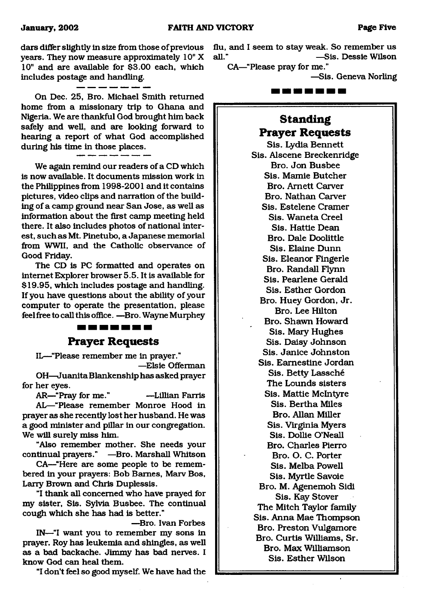dars differ slightly in size from those of previous years. They now measure approximately 10" X 10" and are available for \$3.00 each, which includes postage and handling.

On Dec. 25, Bro. Michael Smith returned home from a missionary trip to Ghana and Nigeria. We are thankful God brought him back safely and well, and are looking forward to hearing a report of what God accomplished during his time in those places.

We again remind our readers of a CD which is now available. It documents mission work in the Philippines from 1998-2001 and it contains pictures, video clips and narration of the building of a camp ground near San Jose, as well as information about the first camp meeting held there. It also includes photos of national interest, such as Mt. Pinetubo, a Japanese memorial from WWII, and the Catholic observance of Good Friday.

The CD is PC formatted and operates on internet Explorer browser 5.5. It is available for \$19.95, which includes postage and handling. If you have questions about the ability of your computer to operate the presentation, please feel free to call this office. —Bro. Wayne Murphey

### ------

### **Prayer Requests**

<span id="page-4-0"></span>IL—"Please remember me in prayer." —Elsie Offerman

OH—Juanita Blankenship has asked prayer for her eyes.

AR—"Pray for me." —Lillian Farris

AL—"Please remember Monroe Hood in prayer as she recently lost her husband. He was a good minister and pillar in our congregation. We will surely miss him.

"Also remember mother. She needs your continual prayers." —Bro. Marshall Whitson

CA—"Here are some people to be remembered in your prayers: Bob Barnes, Marv Bos, Larry Brown and Chris Duplessis.

"I thank all concerned who have prayed for my sister, Sis. Sylvia Busbee. The continual cough which she has had is better."

—Bro. Ivan Forbes IN—"I want you to remember my sons in prayer. Roy has leukemia and shingles, as well as a bad backache. Jimmy has bad nerves. I know God can heal them.

"I don't feel so good myself. We have had the

flu, and I seem to stay weak. So remember us all." —Sis. Dessie Wilson

CA—"Please pray for me."

—Sis. Geneva Norling

2 20 E E E E

### **Standing Prayer Requests**

Sis. Lydia Bennett Sis. Alscene Breckenridge Bro. Jon Busbee Sis. Mamie Butcher Bro. Arnett Carver Bro. Nathan Carver Sis. Estelene Cramer Sis. Waneta Creel Sis. Hattie Dean Bro. Dale Doolittle Sis. Elaine Dunn Sis. Eleanor Fingerle Bro. Randall Flynn Sis. Pearlene Gerald Sis. Esther Gordon Bro. Huey Gordon, Jr. Bro. Lee Hilton Bro. Shawn Howard Sis. Mary Hughes Sis. Daisy Johnson Sis. Janice Johnston Sis. Eamestine Jordan Sis. Betty Lassche The Lounds sisters Sis. Mattie McIntyre Sis. Bertha Miles Bro. Allan Miller Sis. Virginia Myers Sis. Dollie O'Neall Bro. Charles Pierro Bro. O. C. Porter Sis. Melba Powell Sis. Myrtle Savoie Bro. M. Agenemoh Sidi Sis. Kay Stover The Mitch Taylor family Sis. Anna Mae Thompson Bro. Preston Vulgamore Bro. Curtis Williams, Sr. Bro. Max Williamson Sis. Esther Wilson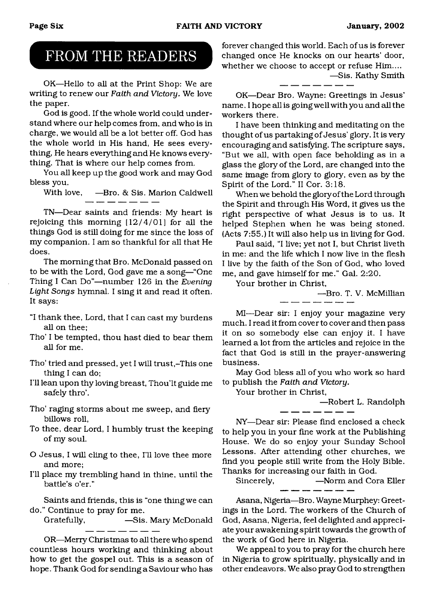### FROM THE READERS

OK-Hello to all at the Print Shop: We are writing to renew our *Faith and Victory.* We love the paper.

God is good. If the whole world could understand where our help comes from, and who is in charge, we would all be a lot better off. God has the whole world in His hand, He sees everything, He hears everything and He knows everything. That is where our help comes from.

You all keep up the good work and may God bless you.

With love, —Bro. & Sis. Marion Caldwell

TN—Dear saints and friends: My heart is rejoicing this morning [12/4/01] for all the things God is still doing for me since the loss of my companion. I am so thankful for all that He does.

The morning that Bro. McDonald passed on to be with the Lord, God gave me a song—"One Thing I Can Do"—number 126 in the *Evening Light Songs* hymnal. I sing it and read it often. It says:

- "I thank thee, Lord, that I can cast my burdens all on thee;
- Tho' I be tempted, thou hast died to bear them all for me.
- Tho' tried and pressed, yet I will trust,-This one thing I can do;
- I'll lean upon thy loving breast, Thou'lt guide me safely thro'.
- Tho' raging storms about me sweep, and fiery billows roll,
- To thee, dear Lord, I humbly trust the keeping of my soul.
- O Jesus, I will cling to thee, I'll love thee more and more;
- I'll place my trembling hand in thine, until the battle's o'er."

Saints and friends, this is "one thing we can do." Continue to pray for me.

Gratefully, —Sis. Mary McDonald  $\overline{\phantom{a}}$   $\overline{\phantom{a}}$   $\overline{\phantom{a}}$   $\overline{\phantom{a}}$   $\overline{\phantom{a}}$ 

OR—Merry Christmas to all there who spend countless hours working and thinking about how to get the gospel out. This is a season of hope. Thank God for sending a Saviour who has

forever changed this world. Each of us is forever changed once He knocks on our hearts' door, whether we choose to accept or refuse Him.... —Sis. Kathy Smith

OK—Dear Bro. Wayne: Greetings in Jesus' name. I hope all is going well with you and all the workers there.

I have been thinking and meditating on the thought of us partaking of Jesus' glory. It is very encouraging and satisfying. The scripture says, "But we all, with open face beholding as in a glass the glory of the Lord, are changed into the same image from glory to glory, even as by the Spirit of the Lord." II Cor. 3:18.

When we behold the glory of the Lord through the Spirit and through His Word, it gives us the right perspective of what Jesus is to us. It helped Stephen when he was being stoned. (Acts 7:55.) It will also help us in living for God.

Paul said, "I live; yet not I, but Christ liveth in me: and the life which I now live in the flesh I live by the faith of the Son of God, who loved me, and gave himself for me." Gal. 2:20.

Your brother in Christ,

—Bro. T. V. McMillian

MI—Dear sir: I enjoy your magazine very much. I read it from cover to cover and then pass it on so somebody else can enjoy it. I have learned a lot from the articles and rejoice in the fact that God is still in the prayer-answering business.

May God bless all of you who work so hard to publish the *Faith and Victory.*

Your brother in Christ,

—Robert L. Randolph

NY—Dear sir: Please find enclosed a check to help you in your fine work at the Publishing House. We do so enjoy your Sunday School Lessons. After attending other churches, we find you people still write from the Holy Bible. Thanks for increasing our faith in God.

Sincerely, —Norm and Cora Eller

As ana, Nigeria—Bro. Wayne Murphey: Greetings in the Lord. The workers of the Church of God, Asana, Nigeria, feel delighted and appreciate your awakening spirit towards the growth of the work of God here in Nigeria.

We appeal to you to pray for the church here in Nigeria to grow spiritually, physically and in other endeavors. We also pray God to strengthen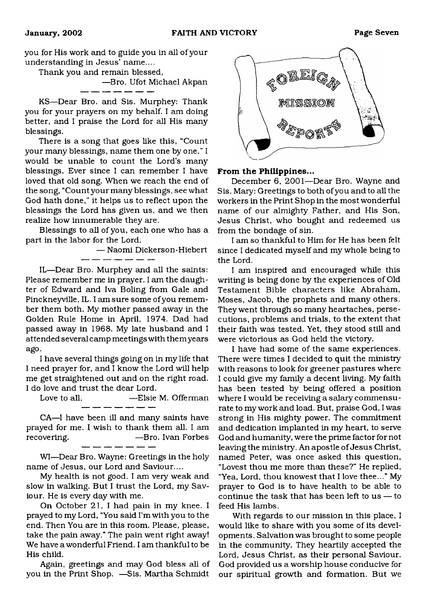you for His work and to guide you in all of your understanding in Jesus' name....

Thank you and remain blessed,

—Bro. Ufot Michael Akpan

KS—Dear Bro. and Sis. Murphey: Thank you for your prayers on my behalf. I am doing better, and I praise the Lord for all His many blessings.

- --- --- --- --- --

There is a song that goes like this, "Count your many blessings, name them one by one." I would be unable to count the Lord's many blessings. Ever since I can remember I have loved that old song. When we reach the end of the song, "Count your many blessings, see what God hath done," it helps us to reflect upon the blessings the Lord has given us, and we then realize how innumerable they are.

Blessings to all of you, each one who has a part in the labor for the Lord.

— Naomi Dickerson-Hiebert

IL—Dear Bro. Murphey and all the saints: Please remember me in prayer. I am the daughter of Edward and Iva Boling from Gale and Pinckneyville, IL. I am sure some of you remember them both. My mother passed away in the Golden Rule Home in April, 1974. Dad had passed away in 1968. My late husband and I attended several camp meetings with themyears ago.

I have several things going on in my life that I need prayer for, and I know the Lord will help me get straightened out and on the right road. I do love and trust the dear Lord.

Love to all, —Elsie M. Offerman للمراسب المسارسين

CA—I have been ill and many saints have prayed for me. I wish to thank them all. I am recovering. — — — — Bro. Ivan Forbes - -- -- -- -

WI—Dear Bro. Wayne: Greetings in the holy name of Jesus, our Lord and Saviour....

My health is not good. I am very weak and slow in walking. But I trust the Lord, my Saviour. He is every day with me.

On October 21, I had pain in my knee. I prayed to my Lord, "You said I'm with you to the end. Then You are in this room. Please, please, take the pain away." The pain went right away! We have a wonderful Friend. I am thankful to be His child.

Again, greetings and may God bless all of you in the Print Shop. —Sis. Martha Schmidt



#### From the Philippines...

December 6, 2001—Dear Bro. Wayne and Sis. Mary: Greetings to both of you and to all the workers in the Print Shop in the most wonderful name of our almighty Father, and His Son, Jesus Christ, who bought and redeemed us from the bondage of sin.

I am so thankful to Him for He has been felt since I dedicated myself and my whole being to the Lord.

I am inspired and encouraged while this writing is being done by the experiences of Old Testament Bible characters like Abraham, Moses, Jacob, the prophets and many others. They went through so many heartaches, persecutions, problems and trials, to the extent that their faith was tested. Yet, they stood still and were victorious as God held the victory.

I have had some of the same experiences. There were times I decided to quit the ministry with reasons to look for greener pastures where I could give my family a decent living. My faith has been tested by being offered a position where I would be receiving a salary commensurate to my work and load. But, praise God, I was strong in His mighty power. The commitment and dedication implanted in my heart, to serve God and humanity, were the prime factor for not leaving the ministry. An apostle of Jesus Christ, named Peter, was once asked this question, "Lovest thou me more than these?" He replied, "Yea, Lord, thou knowest that I love thee..." My prayer to God is to have health to be able to continue the task that has been left to us — to feed His lambs.

With regards to our mission in this place, I would like to share with you some of its developments. Salvation was brought to some people in the community. They heartily accepted the Lord, Jesus Christ, as their personal Saviour. God provided us a worship house conducive for our spiritual growth and formation. But we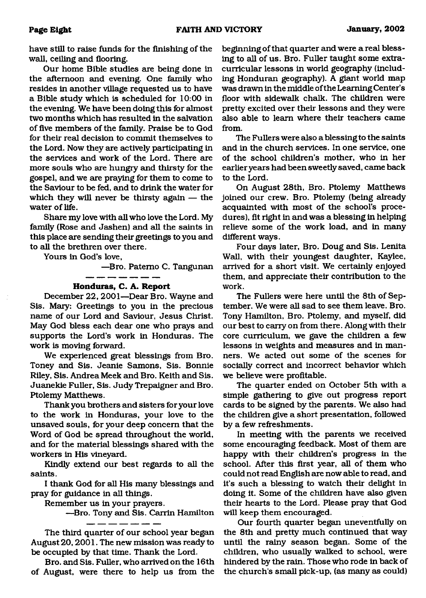have still to raise funds for the finishing of the wall, ceiling and flooring.

Our home Bible studies are being done in the afternoon and evening. One family who resides in another village requested us to have a Bible study which is scheduled for 10:00 in the evening. We have been doing this for almost two months which has resulted in the salvation of five members of the family. Praise be to God for their real decision to commit themselves to the Lord. Now they are actively participating in the services and work of the Lord. There are more souls who are hungry and thirsty for the gospel, and we are praying for them to come to the Saviour to be fed, and to drink the water for which they will never be thirsty again — the water of life.

Share my love with all who love the Lord. My family (Rose and Jashen) and all the saints in this place are sending their greetings to you and to all the brethren over there.

Yours in God's love,

—Bro. Patemo C. Tangunan

### **Honduras, C. A. Report**

. ... ... ... ... .

December 22, 2001—Dear Bro. Wayne and Sis. Mary: Greetings to you in the precious name of our Lord and Saviour, Jesus Christ. May God bless each dear one who prays and supports the Lord's work in Honduras. The work is moving forward.

We experienced great blessings from Bro. Toney and Sis. Jeanie Samons, Sis. Bonnie Riley, Sis. Andrea Meek and Bro. Keith and Sis. Juanekie Fuller, Sis. Judy Trepaigner and Bro. Ptolemy Matthews.

Thank you brothers and sisters for your love to the work in Honduras, your love to the unsaved souls, for your deep concern that the Word of God be spread throughout the world, and for the material blessings shared with the workers in His vineyard.

Kindly extend our best regards to all the saints.

I thank God for all His many blessings and pray for guidance in all things.

Remember us in your prayers.

—Bro. Tony and Sis. Carrin Hamilton

The third quarter of our school year began August 20,2001. The new mission was ready to be occupied by that time. Thank the Lord.

Bro. and Sis. Fuller, who arrived on the 16th of August, were there to help us from the

beginning of that quarter and were a real blessing to all of us. Bro. Fuller taught some extracurricular lessons in world geography (including Honduran geography). A giant world map was drawn in the middle of the Learning Center's floor with sidewalk chalk. The children were pretty excited over their lessons and they were also able to learn where their teachers came from.

The Fullers were also a blessing to the saints and in the church services. In one service, one of the school children's mother, who in her earlier years had been sweetly saved, came back to the Lord.

On August 28th, Bro. Ptolemy Matthews joined our crew. Bro. Ptolemy (being already acquainted with most of the school's procedures), fit right in and was a blessing in helping relieve some of the work load, and in many different ways.

Four days later, Bro. Doug and Sis. Lenita Wall, with their youngest daughter, Kaylee, arrived for a short visit. We certainly enjoyed them, and appreciate their contribution to the work.

The Fullers were here until the 8th of September. We were all sad to see them leave. Bro. Tony Hamilton, Bro. Ptolemy, and myself, did our best to carry on from there. Along with their core curriculum, we gave the children a few lessons in weights and measures and in manners. We acted out some of the scenes for socially correct and incorrect behavior which we believe were profitable.

The quarter ended on October 5th with a simple gathering to give out progress report cards to be signed by the parents. We also had the children give a short presentation, followed by a few refreshments.

In meeting with the parents we received some encouraging feedback. Most of them are happy with their children's progress in the school. After this first year, all of them who could not read English are now able to read, and it's such a blessing to watch their delight in doing it. Some of the children have also given their hearts to the Lord. Please pray that God will keep them encouraged.

Our fourth quarter began uneventfully on the 8th and pretty much continued that way until the rainy season began. Some of the children, who usually walked to school, were hindered by the rain. Those who rode in back of the church's small pick-up, (as many as could)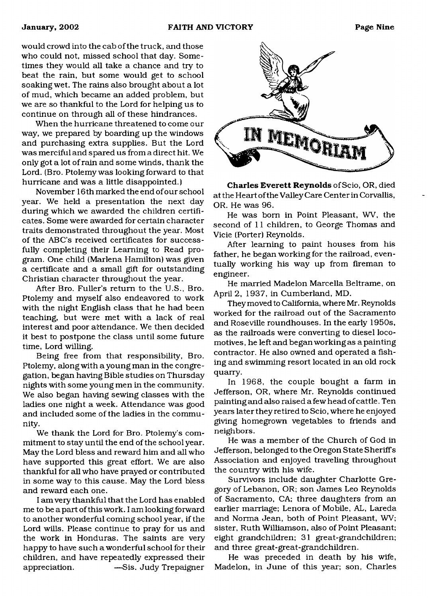would crowd into the cab of the truck, and those who could not, missed school that day. Sometimes they would all take a chance and try to beat the rain, but some would get to school soaking wet. The rains also brought about a lot of mud, which became an added problem, but we are so thankful to the Lord for helping us to continue on through all of these hindrances.

When the hurricane threatened to come our way, we prepared by boarding up the windows and purchasing extra supplies. But the Lord was merciful and spared us from a direct hit. We only got a lot of rain and some winds, thank the Lord. (Bro. Ptolemy was looking forward to that hurricane and was a little disappointed.)

November 16 th marked the end of our school year. We held a presentation the next day during which we awarded the children certificates. Some were awarded for certain character traits demonstrated throughout the year. Most of the ABC's received certificates for successfully completing their Learning to Read program. One child (Marlena Hamilton) was given a certificate and a small gift for outstanding Christian character throughout the year.

After Bro. Fuller's return to the U.S., Bro. Ptolemy and myself also endeavored to work with the night English class that he had been teaching, but were met with a lack of real interest and poor attendance. We then decided it best to postpone the class until some future time, Lord willing.

Being free from that responsibility, Bro. Ptolemy, along with a young man in the congregation, began having Bible studies on Thursday nights with some young men in the community. We also began having sewing classes with the ladies one night a week. Attendance was good and included some of the ladies in the community.

We thank the Lord for Bro. Ptolemy's commitment to stay until the end of the school year. May the Lord bless and reward him and all who have supported this great effort. We are also thankful for all who have prayed or contributed in some way to this cause. May the Lord bless and reward each one.

I am very thankful that the Lord has enabled me to be a part of this work. I am looking forward to another wonderful coming school year, if the Lord wills. Please continue to pray for us and the work in Honduras. The saints are very happy to have such a wonderful school for their children, and have repeatedly expressed their appreciation. —Sis. Judy Trepaigner



Charles Everett Reynolds of Scio, OR, died at the Heart of the Valley Care Center in Corvallis, OR. He was 96.

He was bom in Point Pleasant, WV, the second of 11 children, to George Thomas and Vicie (Porter) Reynolds.

After learning to paint houses from his father, he began working for the railroad, eventually working his way up from fireman to engineer.

He married Madelon Marcella Beltrame, on April 2, 1937, in Cumberland, MD.

They moved to California, where Mr. Reynolds worked for the railroad out of the Sacramento and Roseville roundhouses. In the early 1950s, as the railroads were converting to diesel locomotives , he left and began working as a painting contractor. He also owned and operated a fishing and swimming resort located in an old rock quarry.

In 1968, the couple bought a farm in Jefferson, OR, where Mr. Reynolds continued painting and also raised a few head of cattle. Ten years later they retired to Scio, where he enjoyed giving homegrown vegetables to friends and neighbors.

He was a member of the Church of God in Jefferson, belonged to the Oregon State Sheriffs Association and enjoyed traveling throughout the country with his wife.

Survivors include daughter Charlotte Gregory of Lebanon, OR; son James Leo Reynolds of Sacramento, CA; three daughters from an earlier marriage; Lenora of Mobile, AL, Lareda and Norma Jean, both of Point Pleasant, WV; sister, Ruth Williamson, also of Point Pleasant; eight grandchildren; 31 great-grandchildren; and three great-great-grandchildren.

He was preceded in death by his wife, Madelon, in June of this year; son, Charles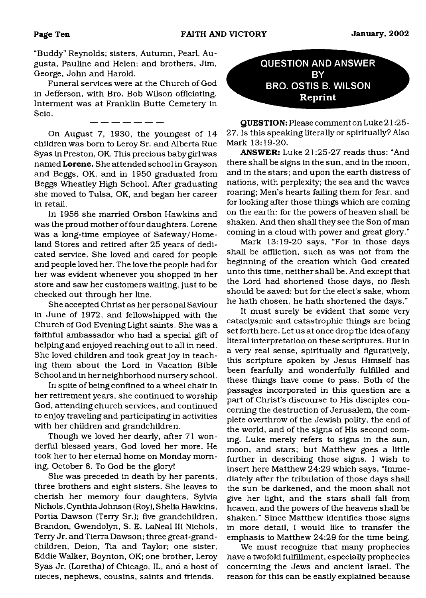"Buddy" Reynolds; sisters, Autumn, Pearl, Augusta, Pauline and Helen; and brothers, Jim, George, John and Harold.

Funeral services were at the Church of God in Jefferson, with Bro. Bob Wilson officiating. Interment was at Franklin Butte Cemetery in Scio.

On August 7, 1930, the youngest of 14 children was bom to Leroy Sr. and Alberta Rue Syas in Preston, OK. This precious baby girl was named Lorene. She attended school in Grayson and Beggs, OK, and in 1950 graduated from Beggs Wheatley High School. After graduating she moved to Tulsa, OK, and began her career in retail.

In 1956 she married Orsbon Hawkins and was the proud mother of four daughters. Lorene was a long-time employee of Safeway/Homeland Stores and retired after 25 years of dedicated service. She loved and cared for people and people loved her. The love the people had for her was evident whenever you shopped in her store and saw her customers waiting, just to be checked out through her line.

She accepted Christ as her personal Saviour in June of 1972, and fellowshipped with the Church of God Evening Light saints. She was a faithful ambassador who had a special gift of helping and enjoyed reaching out to all in need. She loved children and took great joy in teaching them about the Lord in Vacation Bible School and in her neighborhood nursery school.

In spite of being confined to a wheel chair in her retirement years, she continued to worship God, attending church services, and continued to enjoy traveling and participating in activities with her children and grandchildren.

Though we loved her dearly, after 71 wonderful blessed years, God loved her more. He took her to her eternal home on Monday morning, October 8. To God be the glory!

She was preceded in death by her parents, three brothers and eight sisters. She leaves to cherish her memory four daughters, Sylvia Nichols, Cynthia Johnson (Roy), Shelia Hawkins, Portia Dawson (Terry Sr.); five grandchildren, Brandon, Gwendolyn, S. E. LaNeal III Nichols, Terry Jr. and Tierra Dawson; three great-grandchildren, Deion, Tia and Taylor; one sister, Eddie Walker, Boynton, OK; one brother, Leroy Syas Jr. (Loretha) of Chicago, IL, and a host of nieces, nephews, cousins, saints and friends.

**QUESTION AND ANSWER BY BRO. OSTIS B. WILSON Reprint**

**QUESTION:** Please comment on Luke 21:25- 27. Is this speaking literally or spiritually? Also Mark 13:19-20.

ANSWER: Luke 21:25-27 reads thus: "And there shall be signs in the sun, and in the moon, and in the stars; and upon the earth distress of nations, with perplexity; the sea and the waves roaring; Men's hearts failing them for fear, and for looking after those things which are coming on the earth: for the powers of heaven shall be shaken. And then shall they see the Son of man coming in a cloud with power and great glory."

Mark 13:19-20 says, "For in those days shall be affliction, such as was not from the beginning of the creation which God created unto this time, neither shall be. And except that the Lord had shortened those days, no flesh should be saved: but for the elect's sake, whom he hath chosen, he hath shortened the days."

It must surely be evident that some very cataclysmic and catastrophic things are being set forth here. Let us at once drop the idea of any literal interpretation on these scriptures. But in a very real sense, spiritually and figuratively, this scripture spoken by Jesus Himself has been fearfully and wonderfully fulfilled and these things have come to pass. Both of the passages incorporated in this question are a part of Christ's discourse to His disciples concerning the destruction of Jerusalem, the complete overthrow of the Jewish polity, the end of the world, and of the signs of His second coming. Luke merely refers to signs in the sun, moon, and stars; but Matthew goes a little further in describing those signs. I wish to insert here Matthew 24:29 which says, "Immediately after the tribulation of those days shall the sun be darkened, and the moon shall not give her light, and the stars shall fall from heaven, and the powers of the heavens shall be shaken." Since Matthew identifies those signs in more detail, I would like to transfer the emphasis to Matthew 24:29 for the time being.

We must recognize that many prophecies have a twofold fulfillment, especially prophecies concerning the Jews and ancient Israel. The reason for this can be easily explained because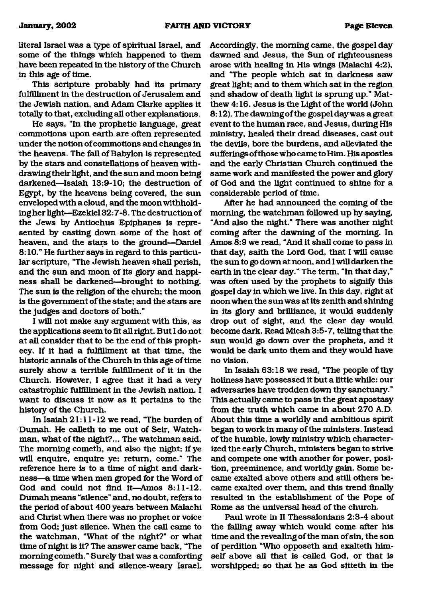literal Israel was a type of spiritual Israel, and some of the things which happened to them have been repeated in the history of the Church in this age of time.

This scripture probably had its primary fulfillment in the destruction of Jerusalem and the Jewish nation, and Adam Clarke applies it totally to that, excluding all other explanations.

He says, "In the prophetic language, great commotions upon earth are often represented under the notion of commotions and changes in the heavens. The fall of Babylon is represented by the stars and constellations of heaven withdrawing their light, and the sun and moon being darkened—Isaiah 13:9-10; the destruction of Egypt, by the heavens being covered, the sun enveloped with a cloud, and the moon withholding her light—Ezekiel 32:7-8. The destruction of the Jews by Antiochus Epiphanes is represented by casting down some of the host of heaven, and the stars to the ground—Daniel 8:10." He further says in regard to this particular scripture, "The Jewish heaven shall perish, and the sun and moon of its glory and happiness shall be darkened—brought to nothing. The sun is the religion of the church; the moon is the government of the state; and the stars are the judges and doctors of both."

I will not make any argument with this, as the applications seem to fit all right. But I do not at all consider that to be the end of this prophecy. If it had a fulfillment at that time, the historic annals of the Church in this age of time surely show a terrible fulfillment of it in the Church. However, I agree that it had a very catastrophic fulfillment in the Jewish nation. I want to discuss it now as it pertains to the history of the Church.

In Isaiah 21:11 -12 we read, "The burden of Dumah. He calleth to me out of Seir, Watchman, what of the night?... The watchman said, The morning cometh, and also the night: if ye will enquire, enquire ye: return, come." The reference here is to a time of night and darkness—a time when men groped for the Word of God and could not find it—Amos 8:11-12. Dumah means "silence" and, no doubt, refers to the period of about 400 years between Malachi and Christ when there was no prophet or voice from God; just silence. When the call came to the watchman, "What of the night?" or what time of night is it? The answer came back, "The morning cometh." Surety that was a comforting message for night and silence-weary Israel.

Accordingly, the morning came, the gospel day dawned and Jesus, the Sun of righteousness arose with heeding in His wings (Malachi 4:2), and "The people which sat in darkness saw great light; and to them which sat in the region and shadow of death light is sprung up." Matthew 4:16. Jesus is the Light of the world (John 8:12). The dawningofthe gospelday was agreat event to the human race, and Jesus, during His ministry, healed their dread diseases, cast out the devils, bore the burdens, and alleviated the sufferings of those who came to Him. His apostles and the early Christian Church continued the same work and manifested the power and glory of God and the light continued to shine for a considerable period of time.

After he had announced the coming of the morning, the watchman followed up by saying, "And also the night." There was another night coming after the dawning of the morning. In Amos 8:9 we read, "And it shall come to pass in that day, saith the Lord God, that I will cause the sun to go down at noon, and I will darken the earth in the clear day." The term, "In that day," was often used by the prophets to signify this gospel day in which we live. In this day, right at noon when the sun was at its zenith and shining in its glory and brilliance, it would suddenly drop out of sight, and the clear day would become dark. Read Micah 3:5-7, telling that the sun would go down over the prophets, and it would be dark unto them and they would have no vision.

In Isaiah 63:18 we read, "The people of thy holiness have possessed it but a little while: our adversaries have trodden down thy sanctuary." This actually came to pass in the great apostasy from the truth which came in about 270 A.D. About this time a worldly and ambitious spirit began to work in many of the ministers. Instead of the humble, lowly ministry which characterized the early Church, ministers began to strive and compete one with another for power, position, preeminence, and worldly gain. Some became exalted above others and still others became exalted over them, and this trend finally resulted in the establishment of the Pope of Rome as the universal head of the church.

Paul wrote in II Thessalonians 2:3-4 about the falling away which would come after his time and the revealing of the man of sin, the son of perdition "Who opposeth and exalteth himself above all that is called God, or that is worshipped; so that he as God sitteth in the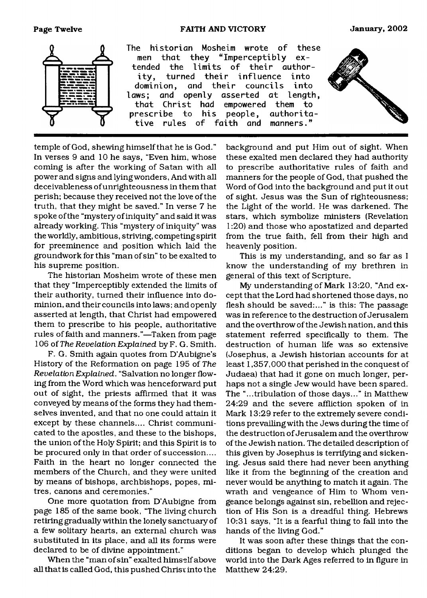#### **Page Twelve FAITH AND VICTORY January, 2002**



temple of God, shewing himself that he is God." In verses 9 and 10 he says, "Even him, whose coming is after the working of Satan with all power and signs and lying wonders, And with all deceivableness of unrighteousness in them that perish; because they received not the love of the truth, that they might be saved." In verse 7 he spoke of the "mystery of iniquity" and said it was already working. This "mystery of iniquity" was the worldly, ambitious, striving, competing spirit for preeminence and position which laid the groundwork for this "man of sin" to be exalted to his supreme position.

The historian Mosheim wrote of these men that they "Imperceptibly extended the limits of their authority, turned their influence into dominion, and their councils into laws; and openly asserted at length, that Christ had empowered them to prescribe to his people, authoritative rules of faith and manners."—Taken from page 106 of *The Revelation Explained* by F. G. Smith.

F. G. Smith again quotes from D'Aubigne's History of the Reformation on page 195 of *The Revelation Explained.* "Salvation no longer flowing from the Word which was henceforward put out of sight, the priests affirmed that it was conveyed by means of the forms they had themselves invented, and that no one could attain it except by these channels.... Christ communicated to the apostles, and these to the bishops, the union of the Holy Spirit; and this Spirit is to be procured only in that order of succession.... Faith in the heart no longer connected the members of the Church, and they were united by means of bishops, archbishops, popes, mitres, canons and ceremonies."

One more quotation from D'Aubigne from page 185 of the same book, "The living church retiring gradually within the lonely sanctuary of a few solitary hearts, an external church was substituted in its place, and all its forms were declared to be of divine appointment."

When the "man of sin" exalted himself above all that is called God, this pushed Christ into the background and put Him out of sight. When these exalted men declared they had authority to prescribe authoritative rules of faith and manners for the people of God, that pushed the Word of God into the background and put it out of sight. Jesus was the Sun of righteousness; the Light of the world. He was darkened. The stars, which symbolize ministers (Revelation 1:20) and those who apostatized and departed from the true faith, fell from their high and heavenly position.

This is my understanding, and so far as I know the understanding of my brethren in general of this text of Scripture.

My understanding of Mark 13:20, "And except that the Lord had shortened those days, no flesh should be saved:..." is this: The passage was in reference to the destruction of Jerusalem and the overthrow of the Jewish nation, and this statement referred specifically to them. The destruction of human life was so extensive (Josephus, a Jewish historian accounts for at least 1,357,000 that perished in the conquest of Judaea) that had it gone on much longer, perhaps not a single Jew would have been spared. The "...tribulation of those days..." in Matthew 24:29 and the severe affliction spoken of in Mark 13:29 refer to the extremely severe conditions prevailing with the Jews during the time of the destruction of Jerusalem and the overthrow of the Jewish nation. The detailed description of this given by Josephus is terrifying and sickening. Jesus said there had never been anything like it from the beginning of the creation and never would be anything to match it again. The wrath and vengeance of Him to Whom vengeance belongs against sin, rebellion and rejection of His Son is a dreadful thing. Hebrews 10:31 says, "It is a fearful thing to fall into the hands of the living God."

It was soon after these things that the conditions began to develop which plunged the world into the Dark Ages referred to in figure in Matthew 24:29.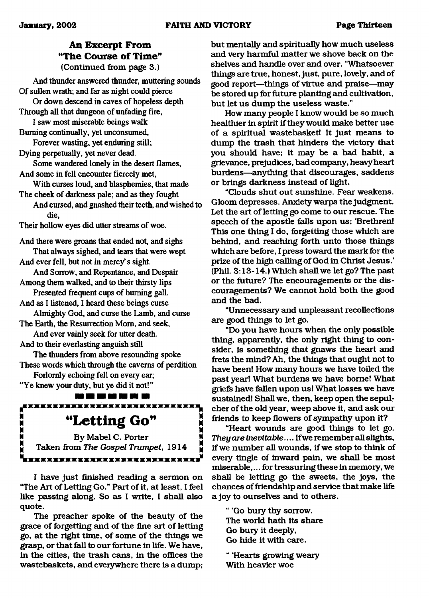### **An Excerpt From "The Course of Time"** (Continued from page 3.)

And thunder answered thunder, muttering sounds Of sullen wrath; and far as night could pierce

Or down descend in caves of hopeless depth Through all that dungeon of unfading fire,

I saw most miserable beings walk Burning continually, yet unconsumed,

Forever wasting, yet enduring still;

Dying perpetually, yet never dead.

Some wandered lonely in the desert flames, And some in fell encounter fiercely met,

With curses loud, and blasphemies, that made The cheek of darkness pale; and as they fought

And cursed, and gnashed their teeth, and wished to die,

Their hollow eyes did utter streams of woe.

And there were groans that ended not, and sighs That always sighed, and tears that were wept And ever fell, but not in mercy's sight.

And Sorrow, and Repentance, and Despair Among them walked, and to their thirsty lips

Presented frequent cups of burning gall.

And as 1 listened, I heard these beings curse

Almighty God, and curse the Lamb, and curse The Earth, the Resurrection Mom, and seek,

And ever vainly seek for utter death.

And to their everlasting anguish still

The thunders from above resounding spoke These words which through the caverns of perdition

Forlornly echoing fell on every ear; "Ye knew your duty, but ye did it not!"

110 121 122 123 124 125 <u>KREXESEKTETEKTE ERKEZKETEKTE</u>

<span id="page-12-0"></span>**SPARAGEMENTALISM:**<br> **SPARAGEMENT (SPANAGEMENT)**<br> **SPARAGEMENT Taken from The Gospel Trumper** By Mabel C. Porter Taken from The Gospel Trumpet, 1914 <u>IXXXXXXXXXXXXXXXXXXXXXXXXXXX</u>

I have just finished reading a sermon on "The Art of Letting Go." Part of it, at least, I feel like passing along. So as I write, I shall also quote.

The preacher spoke of the beauty of the grace of forgetting and of the fine art of letting go, at the right time, of some of the things we grasp, or that fall to our fortune in life. We have, in the cities, the trash cans, in the offices the wastebaskets, and everywhere there is a dump;

but mentally and spiritually how much useless and very harmful matter we shove back on the shelves and handle over and over. "Whatsoever things are true, honest, just, pure, lovely, and of good report—things of virtue and praise—may be stored up for future planting and cultivation, but let us dump the useless waste."

How many people I know would be so much healthier in spirit if they would make better use of a spiritual wastebasket! It just means to dump the trash that hinders the victory that you should have; it may be a bad habit, a grievance, prejudices, bad company, heavy heart burdens—anything that discourages, saddens or brings darkness instead of light.

"Clouds shut out sunshine. Fear weakens. Gloom depresses. Anxiety warps the judgment. Let the art of letting go come to our rescue. The speech of the apostle falls upon us; 'Brethren! This one thing I do, forgetting those which are behind, and reaching forth unto those things which are before, I press toward the mark for the prize of the high calling of God in Christ Jesus.' (Phil. 3:13-14.) Which shall we let go? The past or the future? The encouragements or the discouragements? We cannot hold both the good and the bad.

"Unnecessary and unpleasant recollections are good things to let go.

"Do you have hours when the only possible thing, apparently, the only right thing to consider, is something that gnaws the heart and frets the mind? Ah, the things that ought not to have been! How many hours we have toiled the past year! What burdens we have borne! What griefs have fallen upon us! What losses we have sustained! Shall we, then, keep open the sepulcher of the old year, weep above it, and ask our friends to keep flowers of sympathy upon it?

"Heart wounds are good things to let go. *They are inevitable*.... If we remember all slights, if we number all wounds, if we stop to think of every tingle of inward pain, we shall be most miserable,... for treasuring these in memory, we shall be letting go the sweets, the joys, the chances of friendship and service that make life a joy to ourselves and to others.

" 'Go bury thy sorrow. The world hath its share Go bury it deeply, Go hide it with care.

" 'Hearts growing weary With heavier woe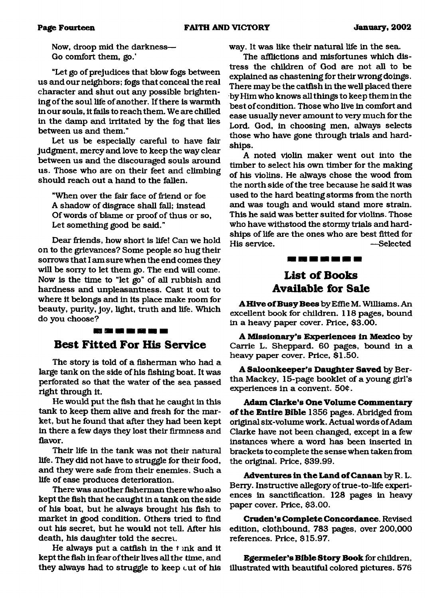Now, droop mid the darkness— Go comfort them, go.'

"Let go of prejudices that blow fogs between us and our neighbors; fogs that conceal the real character and shut out any possible brightening of the soul life of another. If there is warmth in our souls, it fails to reach them. We are chilled in the damp and irritated by the fog that lies between us and them."

Let us be especially careful to have fair judgment, mercy and love to keep the way clear between us and the discouraged souls around us. Those who are on their feet and climbing should reach out a hand to the fallen.

"When over the fair face of friend or foe A shadow of disgrace shall fall; instead Of words of blame or proof of thus or so, Let something good be said."

Dear friends, how short is life! Can we hold on to the grievances? Some people so hug their sorrows that I am sure when the end comes they will be sorry to let them go. The end will come. Now is the time to "let go" of all rubbish and hardness and unpleasantness. Cast it out to where it belongs and in its place make room for beauty, purity, joy, light, truth and life. Which do you choose?

#### 23 A 23 A 24 A 25 A

### <span id="page-13-0"></span>**Best Fitted For His Service**

The story is told of a fisherman who had a large tank on the side of his fishing boat. It was perforated so that the water of the sea passed right through it.

He would put the fish that he caught in this tank to keep them alive and fresh for the market, but he found that after they had been kept in there a few days they lost their firmness and flavor.

Their life in the tank was not their natural life. They did not have to struggle for their food, and they were safe from their enemies. Such a life of ease produces deterioration.

There was another fisherman there who also kept the fish that he caught in a tank on the side of his boat, but he always brought his fish to market in good condition. Others tried to find out his secret, but he would not tell. After his death, his daughter told the secret.

He always put a catfish in the t mk and it kept the fish in fear of their lives all the time, and they always had to struggle to keep cut of his way. It was like their natural life in the sea.

The afflictions and misfortunes which distress the children of God are not all to be explained as chastening for their wrong doings. There may be the catfish in the well placed there by Him who knows all things to keep them in the best of condition. Those who live in comfort and ease usually never amount to very much for the Lord. God, in choosing men, always selects those who have gone through trials and hardships.

A noted violin maker went out into the timber to select his own timber for the making of his violins. He always chose the wood from the north side of the tree because he said it was used to the hard beating storms from the north and was tough and would stand more strain. This he said was better suited for violins. Those who have withstood the stormy trials and hardships of life are the ones who are best fitted for His service. —Selected

### 12 M M M M M W

### **List of Books Available for Sale**

A Hive of Busy Bees by Effie M. Williams. An excellent book for children. 118 pages, bound in a heavy paper cover. Price, \$3.00.

A **M issionary's Experiences in Mexico** by Carrie L. Sheppard. 60 pages, bound in a heavy paper cover. Price, \$1.50.

**A Saloonkeeper's Daughter Saved** by Bertha Mackey, 15-page booklet of a young girl's experiences in a convent. 50¢.

**Adam Clarke's One Volume Commentary** of the Entire Bible 1356 pages. Abridged from original six-volume work. Actual words of Adam Clarke have not been changed, except in a few instances where a word has been inserted in brackets to complete the sense when taken from the original. Price, \$39.99.

**Adventures in the Land of Canaan** by R.L. Berry. Instructive allegory of true-to-life experiences in sanctification. 128 pages in heavy paper cover. Price, \$3.00.

**Cruden's Complete Concordance.** Revised edition, clothbound, 783 pages, over 200,000 references. Price, \$15.97.

**Egermeier's Bible Story Book** for children, illustrated with beautiful colored pictures. 576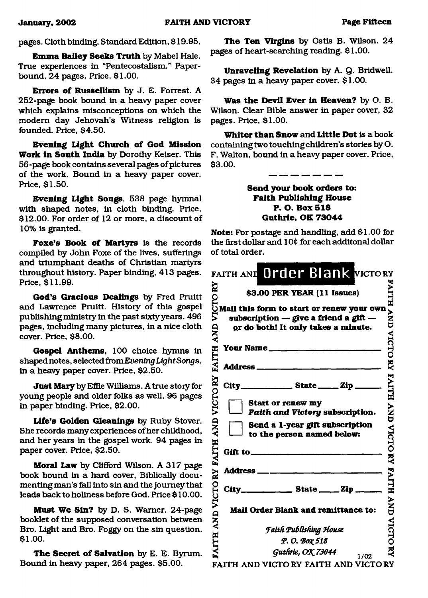### pages. Cloth binding. Standard Edition, \$ 19.95.

**Emma Bailey Seeks Truth** by Mabel Hale. True experiences in "Pentecostalism." Paperbound, 24 pages. Price, \$1.00.

**Errors of Russellism** by J. E. Forrest. A 252-page book bound in a heavy paper cover which explains misconceptions on which the modem day Jehovah's Witness religion is founded. Price, \$4.50.

**Evening Light Church of God Mission Work in South India** by Dorothy Keiser. This 56-page book contains several pages of pictures of the work. Bound in a heavy paper cover. Price, \$1.50.

**Evening Light Songs,** 538 page hymnal with shaped notes, in cloth binding. Price, \$12.00. For order of 12 or more, a discount of 10% is granted.

Foxe's Book of Martyrs is the records compiled by John Foxe of the lives, sufferings and triumphant deaths of Christian martyrs throughout history. Paper binding, 413 pages. Price, \$11.99.

**God's Gracious Dealings** by Fred Pruitt and Lawrence Pruitt. History of this gospel publishing ministry in the past sixty years. 496 pages, including many pictures, in a nice cloth cover. Price, \$8.00.

**Gospel Anthems,** 100 choice hymns in shaped notes, selected *fromEvening Light Songs*, in a heavy paper cover. Price, \$2.50.

**Just Mary** by Effie Williams. A true story for young people and older folks as well. 96 pages in paper binding. Price, \$2.00.

**Life's Golden Gleanings** by Ruby Stover. She records many experiences of her childhood, and her years in the gospel work. 94 pages in paper cover. Price, \$2.50.

**Moral Law** by Clifford Wilson. A 317 page book bound in a hard cover, Biblically documenting man's fall into sin and the journey that leads back to holiness before God. Price \$ 10.00.

**Must We Sin?** by D. S. Warner. 24-page booklet of the supposed conversation between Bro. Light and Bro. Foggy on the sin question. **\$** 1**.**00**.**

The Secret of Salvation by E. E. Byrum. Bound in heavy paper, 264 pages. \$5.00.

**The Ten Virgins** by Ostis B. Wilson. 24 pages of heart-searching reading. \$1.00.

**Unraveling Revelation** by A. Q. Bridwell. 34 pages in a heavy paper cover. \$1.00.

**Was the Devil Ever in Heaven?** by O. B. Wilson. Clear Bible answer in paper cover, 32 pages. Price, \$1.00.

**Whiter than Snow** and **Little Dot** is a book containing two touching children's stories by O. F. Walton, bound in a heavy paper cover. Price, \$3.00.

> **Send your book orders to: Faith Publishing House P. O. Box 518 Guthrie, OK 73044**

**Note:** For postage and handling, add \$1.00 for the first dollar and 10¢ for each additonal dollar of total order.

| FAITH AND Order Blank VICTORY                                                                                                                                  |                                                      |
|----------------------------------------------------------------------------------------------------------------------------------------------------------------|------------------------------------------------------|
| Ñ<br>\$3.00 PER YEAR (11 Issues)                                                                                                                               |                                                      |
| S3.00 PER TEAR [11 ISSues]<br>Mail this form to start or renew your own<br>Subscription — give a friend a gift —<br>or do both! It only takes a minute.<br>AND | ATTH AND VICTORY FAITH AND VICTORY FAITH AND VICTORY |
| FAITH<br>Your Name                                                                                                                                             |                                                      |
|                                                                                                                                                                |                                                      |
| Ř                                                                                                                                                              |                                                      |
| VICTO<br><b>Start or renew my</b><br>Faith and Victory subscription.<br><b>AND</b><br>Send a 1-year gift subscription                                          |                                                      |
| to the person named below:<br><b>FAITH</b>                                                                                                                     |                                                      |
|                                                                                                                                                                |                                                      |
| City________________ State ______ Zip ______                                                                                                                   |                                                      |
| <b>AND VICTORY</b><br>Mail Order Blank and remittance to:                                                                                                      |                                                      |
| <b>Faith Publishing House</b>                                                                                                                                  |                                                      |
|                                                                                                                                                                |                                                      |
| ITH<br>Р. О. Вох 518                                                                                                                                           |                                                      |